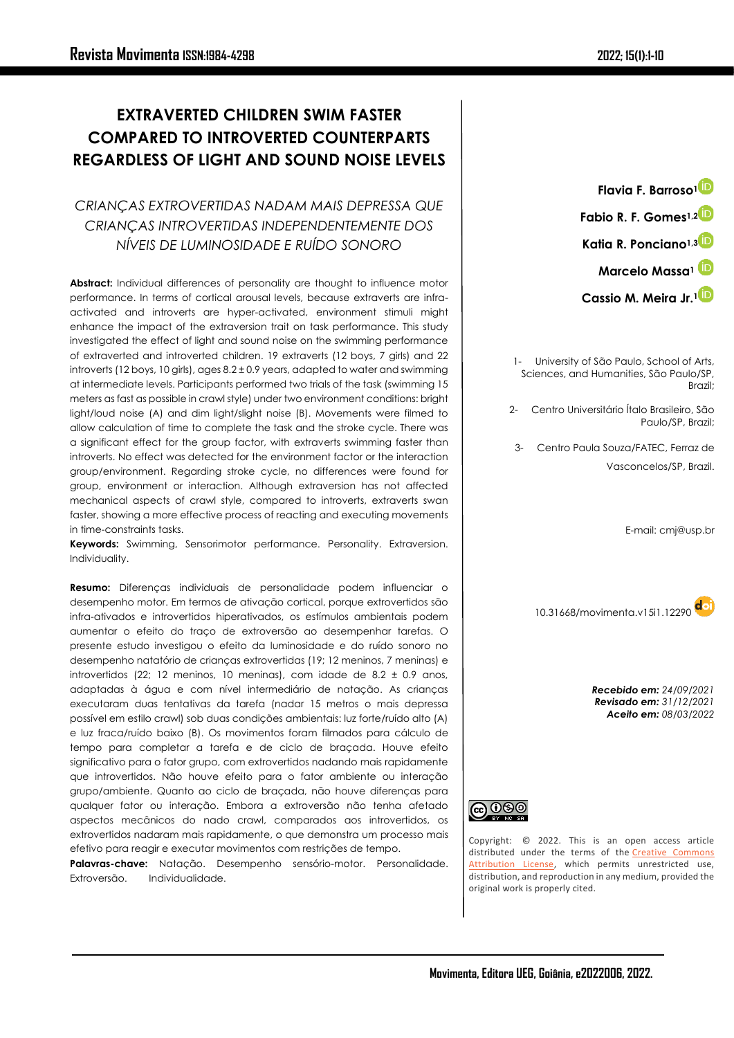# **EXTRAVERTED CHILDREN SWIM FASTER COMPARED TO INTROVERTED COUNTERPARTS REGARDLESS OF LIGHT AND SOUND NOISE LEVELS**

# *CRIANÇAS EXTROVERTIDAS NADAM MAIS DEPRESSA QUE CRIANÇAS INTROVERTIDAS INDEPENDENTEMENTE DOS NÍVEIS DE LUMINOSIDADE E RUÍDO SONORO*

**Abstract:** Individual differences of personality are thought to influence motor performance. In terms of cortical arousal levels, because extraverts are infraactivated and introverts are hyper-activated, environment stimuli might enhance the impact of the extraversion trait on task performance. This study investigated the effect of light and sound noise on the swimming performance of extraverted and introverted children. 19 extraverts (12 boys, 7 girls) and 22 introverts (12 boys, 10 girls), ages 8.2 ± 0.9 years, adapted to water and swimming at intermediate levels. Participants performed two trials of the task (swimming 15 meters as fast as possible in crawl style) under two environment conditions: bright light/loud noise (A) and dim light/slight noise (B). Movements were filmed to allow calculation of time to complete the task and the stroke cycle. There was a significant effect for the group factor, with extraverts swimming faster than introverts. No effect was detected for the environment factor or the interaction group/environment. Regarding stroke cycle, no differences were found for group, environment or interaction. Although extraversion has not affected mechanical aspects of crawl style, compared to introverts, extraverts swan faster, showing a more effective process of reacting and executing movements in time-constraints tasks.

**Keywords:** Swimming, Sensorimotor performance. Personality. Extraversion. Individuality.

**Resumo:** Diferenças individuais de personalidade podem influenciar o desempenho motor. Em termos de ativação cortical, porque extrovertidos são infra-ativados e introvertidos hiperativados, os estímulos ambientais podem aumentar o efeito do traço de extroversão ao desempenhar tarefas. O presente estudo investigou o efeito da luminosidade e do ruído sonoro no desempenho natatório de crianças extrovertidas (19; 12 meninos, 7 meninas) e introvertidos (22; 12 meninos, 10 meninas), com idade de 8.2 ± 0.9 anos, adaptadas à água e com nível intermediário de natação. As crianças executaram duas tentativas da tarefa (nadar 15 metros o mais depressa possível em estilo crawl) sob duas condições ambientais: luz forte/ruído alto (A) e luz fraca/ruído baixo (B). Os movimentos foram filmados para cálculo de tempo para completar a tarefa e de ciclo de braçada. Houve efeito significativo para o fator grupo, com extrovertidos nadando mais rapidamente que introvertidos. Não houve efeito para o fator ambiente ou interação grupo/ambiente. Quanto ao ciclo de braçada, não houve diferenças para qualquer fator ou interação. Embora a extroversão não tenha afetado aspectos mecânicos do nado crawl, comparados aos introvertidos, os extrovertidos nadaram mais rapidamente, o que demonstra um processo mais efetivo para reagir e executar movimentos com restrições de tempo.

**Palavras-chave:** Natação. Desempenho sensório-motor. Personalidade. Extroversão. Individualidade.

**Flavia F. Barroso[1](https://orcid.org/0000-0002-8205-5659) Fabio R. F. Gomes1,[2](https://orcid.org/0000-0001-8414-3209) Katia R. Ponciano1,[3](https://orcid.org/0000-0002-7274-9606) Marcelo Massa<sup>1</sup> Cassio M. Meira Jr.[1](https://orcid.org/0000-0002-9775-935X)**

1- University of São Paulo, School of Arts, Sciences, and Humanities, São Paulo/SP, Brazil;

2- Centro Universitário Ítalo Brasileiro, São Paulo/SP, Brazil;

3- Centro Paula Souza/FATEC, Ferraz de Vasconcelos/SP, Brazil.

E-mail: cmj@usp.br

<10.31668/movimenta.v15i1.12290>

*Recebido em: 24/09/2021 Revisado em: 31/12/2021 Aceito em: 08/03/2022*



Copyright: © 2022. This is an open access article distributed under the terms of the Creative Commons [Attribution License,](https://creativecommons.org/licenses/by/4.0/) which permits unrestricted use, distribution, and reproduction in any medium, provided the original work is properly cited.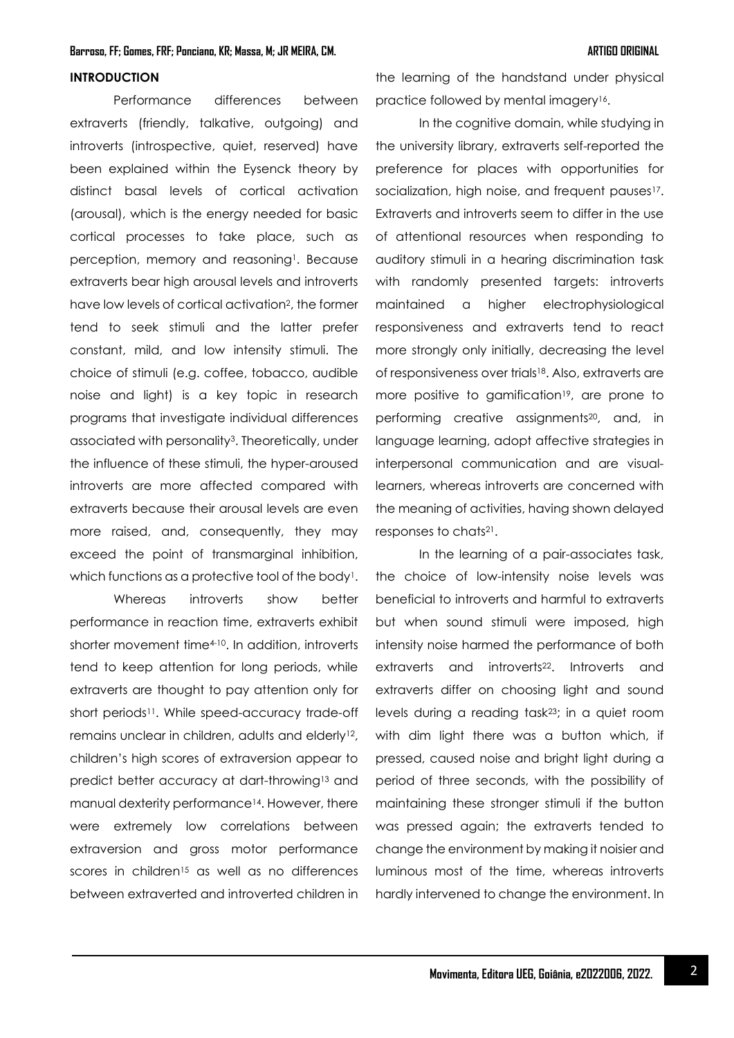# **INTRODUCTION**

Performance differences between extraverts (friendly, talkative, outgoing) and introverts (introspective, quiet, reserved) have been explained within the Eysenck theory by distinct basal levels of cortical activation (arousal), which is the energy needed for basic cortical processes to take place, such as perception, memory and reasoning<sup>1</sup>. Because extraverts bear high arousal levels and introverts have low levels of cortical activation2, the former tend to seek stimuli and the latter prefer constant, mild, and low intensity stimuli. The choice of stimuli (e.g. coffee, tobacco, audible noise and light) is a key topic in research programs that investigate individual differences associated with personality<sup>3</sup>. Theoretically, under the influence of these stimuli, the hyper-aroused introverts are more affected compared with extraverts because their arousal levels are even more raised, and, consequently, they may exceed the point of transmarginal inhibition, which functions as a protective tool of the body<sup>1</sup>.

Whereas introverts show better performance in reaction time, extraverts exhibit shorter movement time<sup>4-10</sup>. In addition, introverts tend to keep attention for long periods, while extraverts are thought to pay attention only for short periods<sup>11</sup>. While speed-accuracy trade-off remains unclear in children, adults and elderly<sup>12</sup>, children's high scores of extraversion appear to predict better accuracy at dart-throwing<sup>13</sup> and manual dexterity performance14. However, there were extremely low correlations between extraversion and gross motor performance scores in children<sup>15</sup> as well as no differences between extraverted and introverted children in the learning of the handstand under physical practice followed by mental imagery<sup>16</sup>.

In the cognitive domain, while studying in the university library, extraverts self-reported the preference for places with opportunities for socialization, high noise, and frequent pauses<sup>17</sup>. Extraverts and introverts seem to differ in the use of attentional resources when responding to auditory stimuli in a hearing discrimination task with randomly presented targets: introverts maintained a higher electrophysiological responsiveness and extraverts tend to react more strongly only initially, decreasing the level of responsiveness over trials18. Also, extraverts are more positive to gamification<sup>19</sup>, are prone to performing creative assignments<sup>20</sup>, and, in language learning, adopt affective strategies in interpersonal communication and are visuallearners, whereas introverts are concerned with the meaning of activities, having shown delayed responses to chats21.

In the learning of a pair-associates task, the choice of low-intensity noise levels was beneficial to introverts and harmful to extraverts but when sound stimuli were imposed, high intensity noise harmed the performance of both extraverts and introverts<sup>22</sup>. Introverts and extraverts differ on choosing light and sound levels during a reading task23; in a quiet room with dim light there was a button which, if pressed, caused noise and bright light during a period of three seconds, with the possibility of maintaining these stronger stimuli if the button was pressed again; the extraverts tended to change the environment by making it noisier and luminous most of the time, whereas introverts hardly intervened to change the environment. In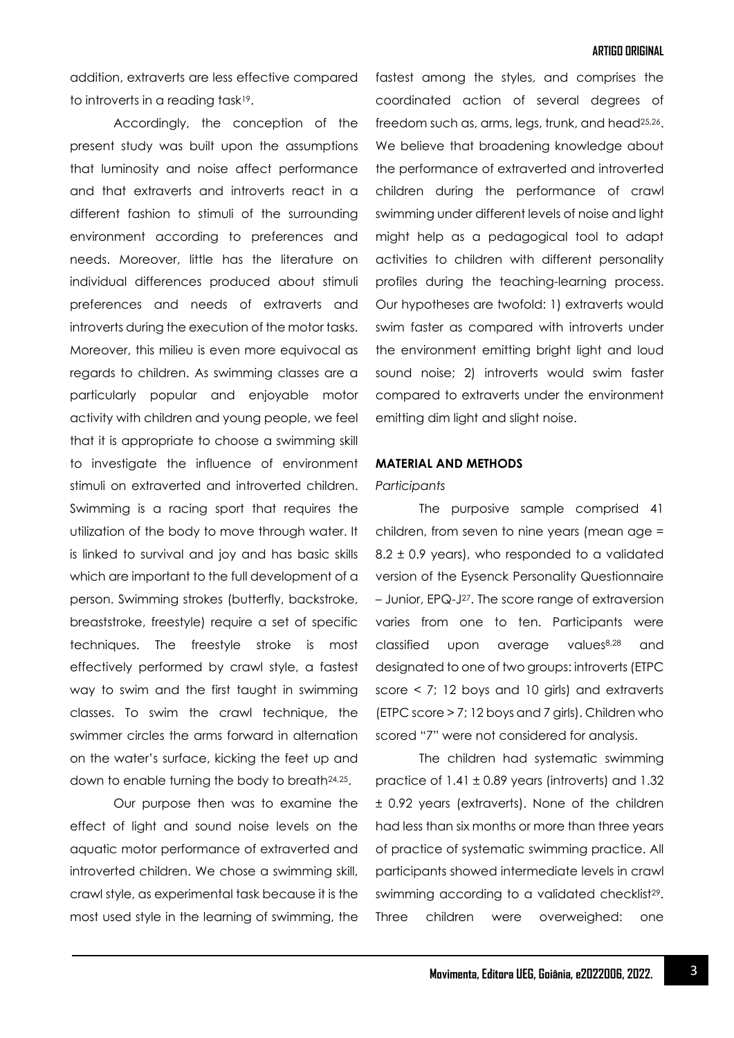### **ARTIGO ORIGINAL**

addition, extraverts are less effective compared to introverts in a reading task19.

Accordingly, the conception of the present study was built upon the assumptions that luminosity and noise affect performance and that extraverts and introverts react in a different fashion to stimuli of the surrounding environment according to preferences and needs. Moreover, little has the literature on individual differences produced about stimuli preferences and needs of extraverts and introverts during the execution of the motor tasks. Moreover, this milieu is even more equivocal as regards to children. As swimming classes are a particularly popular and enjoyable motor activity with children and young people, we feel that it is appropriate to choose a swimming skill to investigate the influence of environment stimuli on extraverted and introverted children. Swimming is a racing sport that requires the utilization of the body to move through water. It is linked to survival and joy and has basic skills which are important to the full development of a person. Swimming strokes (butterfly, backstroke, breaststroke, freestyle) require a set of specific techniques. The freestyle stroke is most effectively performed by crawl style, a fastest way to swim and the first taught in swimming classes. To swim the crawl technique, the swimmer circles the arms forward in alternation on the water's surface, kicking the feet up and down to enable turning the body to breath24,25.

Our purpose then was to examine the effect of light and sound noise levels on the aquatic motor performance of extraverted and introverted children. We chose a swimming skill, crawl style, as experimental task because it is the most used style in the learning of swimming, the

fastest among the styles, and comprises the coordinated action of several degrees of freedom such as, arms, legs, trunk, and head<sup>25,26</sup>. We believe that broadening knowledge about the performance of extraverted and introverted children during the performance of crawl swimming under different levels of noise and light might help as a pedagogical tool to adapt activities to children with different personality profiles during the teaching-learning process. Our hypotheses are twofold: 1) extraverts would swim faster as compared with introverts under the environment emitting bright light and loud sound noise; 2) introverts would swim faster compared to extraverts under the environment emitting dim light and slight noise.

### **MATERIAL AND METHODS**

#### *Participants*

The purposive sample comprised 41 children, from seven to nine years (mean age = 8.2 ± 0.9 years), who responded to a validated version of the Eysenck Personality Questionnaire – Junior, EPQ-J <sup>27</sup>. The score range of extraversion varies from one to ten. Participants were classified upon average values8,28 and designated to one of two groups: introverts (ETPC score < 7; 12 boys and 10 girls) and extraverts (ETPC score > 7; 12 boys and 7 girls). Children who scored "7" were not considered for analysis.

The children had systematic swimming practice of  $1.41 \pm 0.89$  years (introverts) and  $1.32$ ± 0.92 years (extraverts). None of the children had less than six months or more than three years of practice of systematic swimming practice. All participants showed intermediate levels in crawl swimming according to a validated checklist<sup>29</sup>. Three children were overweighed: one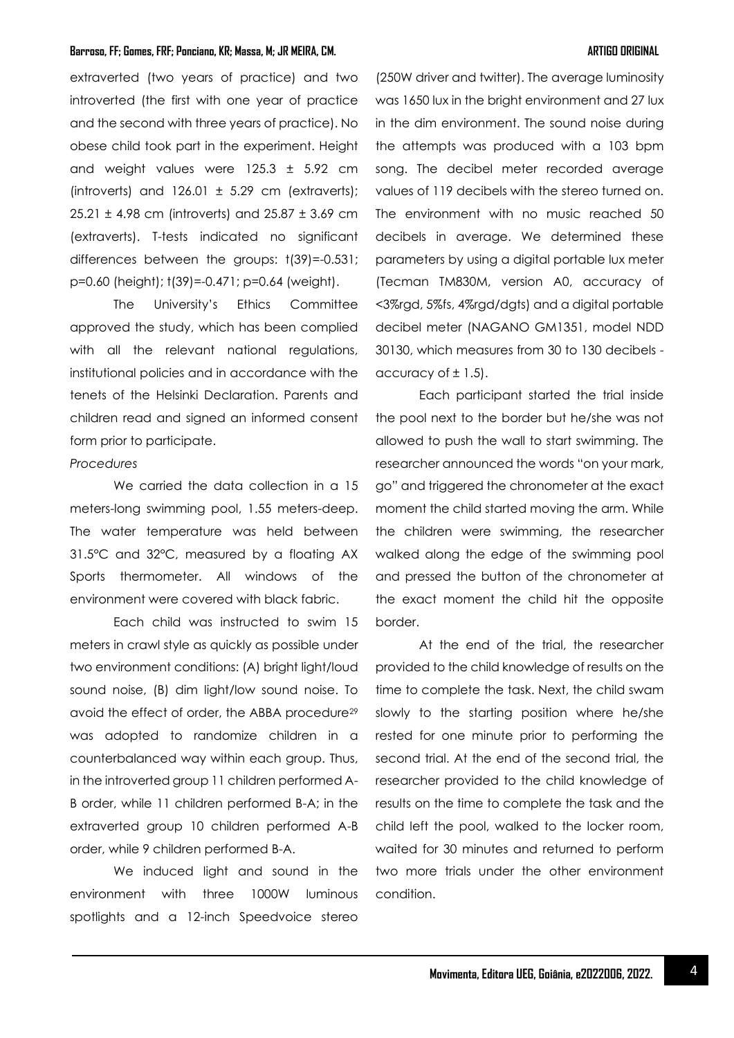extraverted (two years of practice) and two introverted (the first with one year of practice and the second with three years of practice). No obese child took part in the experiment. Height and weight values were 125.3 ± 5.92 cm (introverts) and  $126.01 \pm 5.29$  cm (extraverts); 25.21 ± 4.98 cm (introverts) and 25.87 ± 3.69 cm (extraverts). T-tests indicated no significant differences between the groups: t(39)=-0.531; p=0.60 (height); t(39)=-0.471; p=0.64 (weight).

The University's Ethics Committee approved the study, which has been complied with all the relevant national regulations, institutional policies and in accordance with the tenets of the Helsinki Declaration. Parents and children read and signed an informed consent form prior to participate.

# *Procedures*

We carried the data collection in a 15 meters-long swimming pool, 1.55 meters-deep. The water temperature was held between 31.5°C and 32°C, measured by a floating AX Sports thermometer. All windows of the environment were covered with black fabric.

Each child was instructed to swim 15 meters in crawl style as quickly as possible under two environment conditions: (A) bright light/loud sound noise, (B) dim light/low sound noise. To avoid the effect of order, the ABBA procedure<sup>29</sup> was adopted to randomize children in a counterbalanced way within each group. Thus, in the introverted group 11 children performed A-B order, while 11 children performed B-A; in the extraverted group 10 children performed A-B order, while 9 children performed B-A.

We induced light and sound in the environment with three 1000W luminous spotlights and a 12-inch Speedvoice stereo

(250W driver and twitter). The average luminosity was 1650 lux in the bright environment and 27 lux in the dim environment. The sound noise during the attempts was produced with a 103 bpm song. The decibel meter recorded average values of 119 decibels with the stereo turned on. The environment with no music reached 50 decibels in average. We determined these parameters by using a digital portable lux meter (Tecman TM830M, version A0, accuracy of <3%rgd, 5%fs, 4%rgd/dgts) and a digital portable decibel meter (NAGANO GM1351, model NDD 30130, which measures from 30 to 130 decibels accuracy of  $\pm$  1.5).

Each participant started the trial inside the pool next to the border but he/she was not allowed to push the wall to start swimming. The researcher announced the words "on your mark, go" and triggered the chronometer at the exact moment the child started moving the arm. While the children were swimming, the researcher walked along the edge of the swimming pool and pressed the button of the chronometer at the exact moment the child hit the opposite border.

At the end of the trial, the researcher provided to the child knowledge of results on the time to complete the task. Next, the child swam slowly to the starting position where he/she rested for one minute prior to performing the second trial. At the end of the second trial, the researcher provided to the child knowledge of results on the time to complete the task and the child left the pool, walked to the locker room, waited for 30 minutes and returned to perform two more trials under the other environment condition.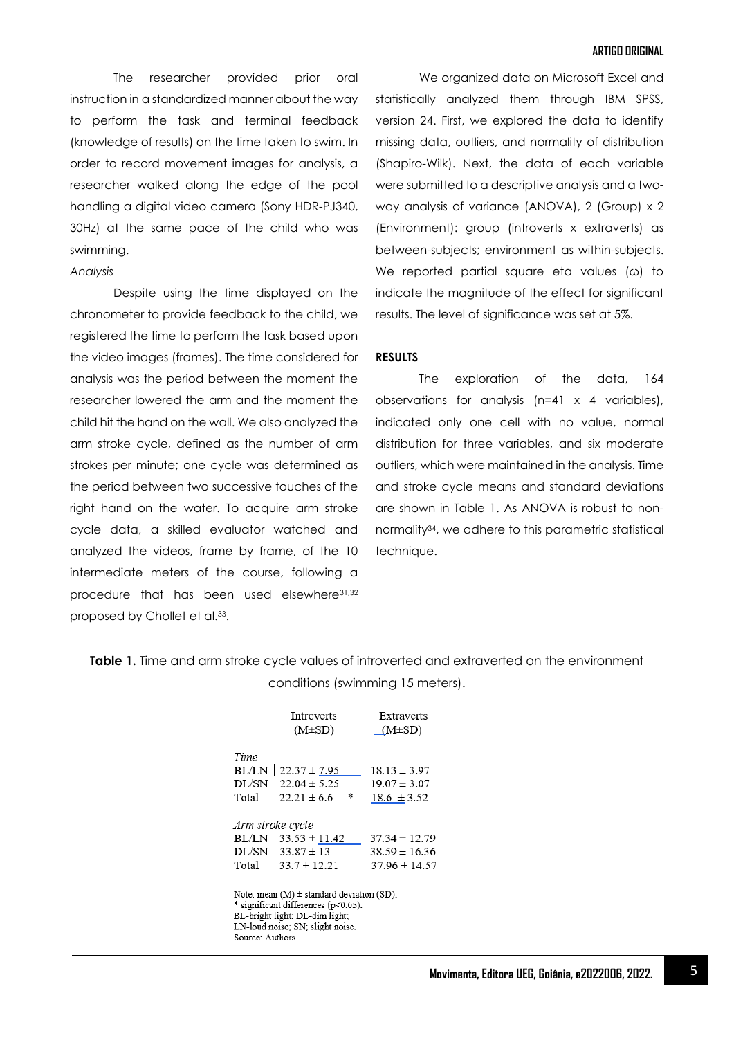The researcher provided prior oral instruction in a standardized manner about the way to perform the task and terminal feedback (knowledge of results) on the time taken to swim. In order to record movement images for analysis, a researcher walked along the edge of the pool handling a digital video camera (Sony HDR-PJ340, 30Hz) at the same pace of the child who was swimming.

*Analysis*

Despite using the time displayed on the chronometer to provide feedback to the child, we registered the time to perform the task based upon the video images (frames). The time considered for analysis was the period between the moment the researcher lowered the arm and the moment the child hit the hand on the wall. We also analyzed the arm stroke cycle, defined as the number of arm strokes per minute; one cycle was determined as the period between two successive touches of the right hand on the water. To acquire arm stroke cycle data, a skilled evaluator watched and analyzed the videos, frame by frame, of the 10 intermediate meters of the course, following a procedure that has been used elsewhere31,32 proposed by Chollet et al.<sup>33</sup> .

We organized data on Microsoft Excel and statistically analyzed them through IBM SPSS, version 24. First, we explored the data to identify missing data, outliers, and normality of distribution (Shapiro-Wilk). Next, the data of each variable were submitted to a descriptive analysis and a twoway analysis of variance (ANOVA), 2 (Group) x 2 (Environment): group (introverts x extraverts) as between-subjects; environment as within-subjects. We reported partial square eta values (ω) to indicate the magnitude of the effect for significant results. The level of significance was set at 5%.

### **RESULTS**

The exploration of the data, 164 observations for analysis (n=41 x 4 variables), indicated only one cell with no value, normal distribution for three variables, and six moderate outliers, which were maintained in the analysis. Time and stroke cycle means and standard deviations are shown in Table 1. As ANOVA is robust to nonnormality34, we adhere to this parametric statistical technique.

**Table 1.** Time and arm stroke cycle values of introverted and extraverted on the environment conditions (swimming 15 meters).

|                           | Introverts<br>$(M\pm SD)$                                                                                                                                    | Extraverts<br>$(M\pm SD)$                                   |  |
|---------------------------|--------------------------------------------------------------------------------------------------------------------------------------------------------------|-------------------------------------------------------------|--|
| Time                      |                                                                                                                                                              |                                                             |  |
|                           | $BL/LN$   22.37 ± 7.95                                                                                                                                       | $18.13 \pm 3.97$                                            |  |
|                           | $DL/SN$ 22.04 $\pm$ 5.25                                                                                                                                     | $19.07 \pm 3.07$                                            |  |
| Total                     | *<br>$22.21 \pm 6.6$                                                                                                                                         | $18.6 \pm 3.52$                                             |  |
| Arm stroke cycle<br>Total | BL/LN $33.53 \pm 11.42$<br>$DL/SN$ 33.87 $\pm$ 13<br>$33.7 \pm 12.21$                                                                                        | $37.34 \pm 12.79$<br>$38.59 \pm 16.36$<br>$37.96 \pm 14.57$ |  |
| Source: Authors           | Note: mean $(M)$ $\pm$ standard deviation (SD).<br>* significant differences (p<0.05).<br>BL-bright light; DL-dim light;<br>LN-loud noise; SN; slight noise. |                                                             |  |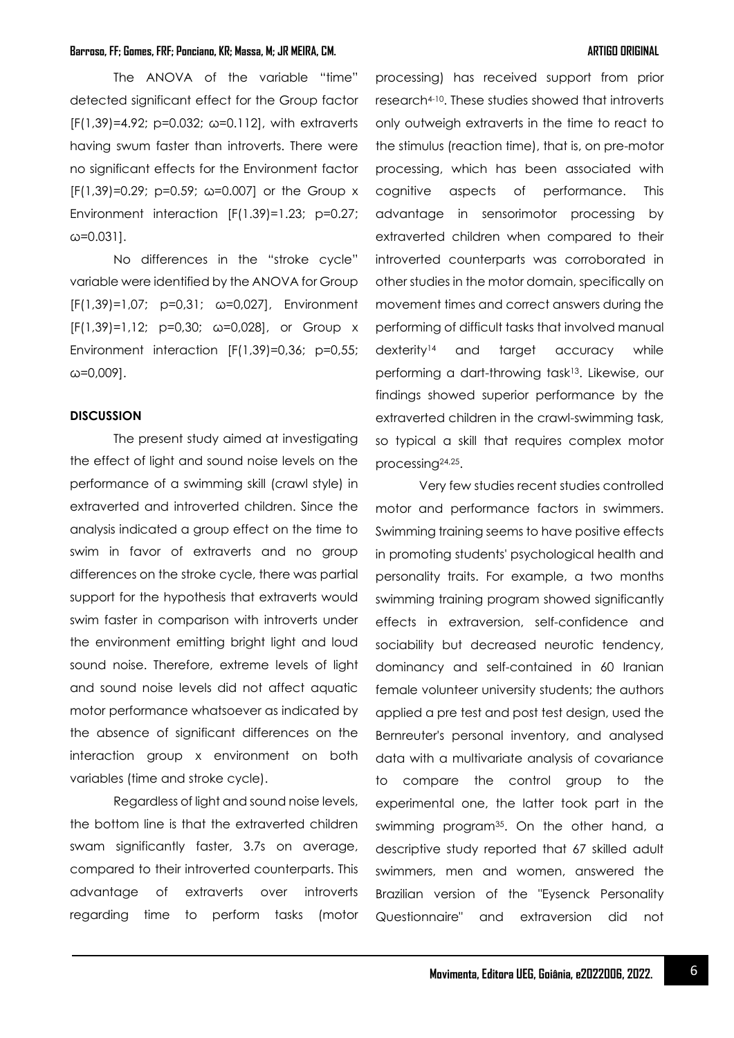The ANOVA of the variable "time" detected significant effect for the Group factor  $[F(1,39)=4.92; p=0.032; \omega=0.112]$ , with extraverts having swum faster than introverts. There were no significant effects for the Environment factor  $[F(1,39)=0.29; p=0.59; \omega=0.007]$  or the Group x Environment interaction [F(1.39)=1.23; p=0.27; ω=0.031].

No differences in the "stroke cycle" variable were identified by the ANOVA for Group [F(1,39)=1,07; p=0,31; ω=0,027], Environment [F(1,39)=1,12; p=0,30; ω=0,028], or Group x Environment interaction [F(1,39)=0,36; p=0,55; ω=0,009].

# **DISCUSSION**

The present study aimed at investigating the effect of light and sound noise levels on the performance of a swimming skill (crawl style) in extraverted and introverted children. Since the analysis indicated a group effect on the time to swim in favor of extraverts and no group differences on the stroke cycle, there was partial support for the hypothesis that extraverts would swim faster in comparison with introverts under the environment emitting bright light and loud sound noise. Therefore, extreme levels of light and sound noise levels did not affect aquatic motor performance whatsoever as indicated by the absence of significant differences on the interaction group x environment on both variables (time and stroke cycle).

Regardless of light and sound noise levels, the bottom line is that the extraverted children swam significantly faster, 3.7s on average, compared to their introverted counterparts. This advantage of extraverts over introverts regarding time to perform tasks (motor

processing) has received support from prior research4-10. These studies showed that introverts only outweigh extraverts in the time to react to the stimulus (reaction time), that is, on pre-motor processing, which has been associated with cognitive aspects of performance. This advantage in sensorimotor processing by extraverted children when compared to their introverted counterparts was corroborated in other studies in the motor domain, specifically on movement times and correct answers during the performing of difficult tasks that involved manual dexterity<sup>14</sup> and target accuracy while performing a dart-throwing task13. Likewise, our findings showed superior performance by the extraverted children in the crawl-swimming task, so typical a skill that requires complex motor processing24,25.

Very few studies recent studies controlled motor and performance factors in swimmers. Swimming training seems to have positive effects in promoting students' psychological health and personality traits. For example, a two months swimming training program showed significantly effects in extraversion, self-confidence and sociability but decreased neurotic tendency, dominancy and self-contained in 60 Iranian female volunteer university students; the authors applied a pre test and post test design, used the Bernreuter's personal inventory, and analysed data with a multivariate analysis of covariance to compare the control group to the experimental one, the latter took part in the swimming program35. On the other hand, a descriptive study reported that 67 skilled adult swimmers, men and women, answered the Brazilian version of the "Eysenck Personality Questionnaire" and extraversion did not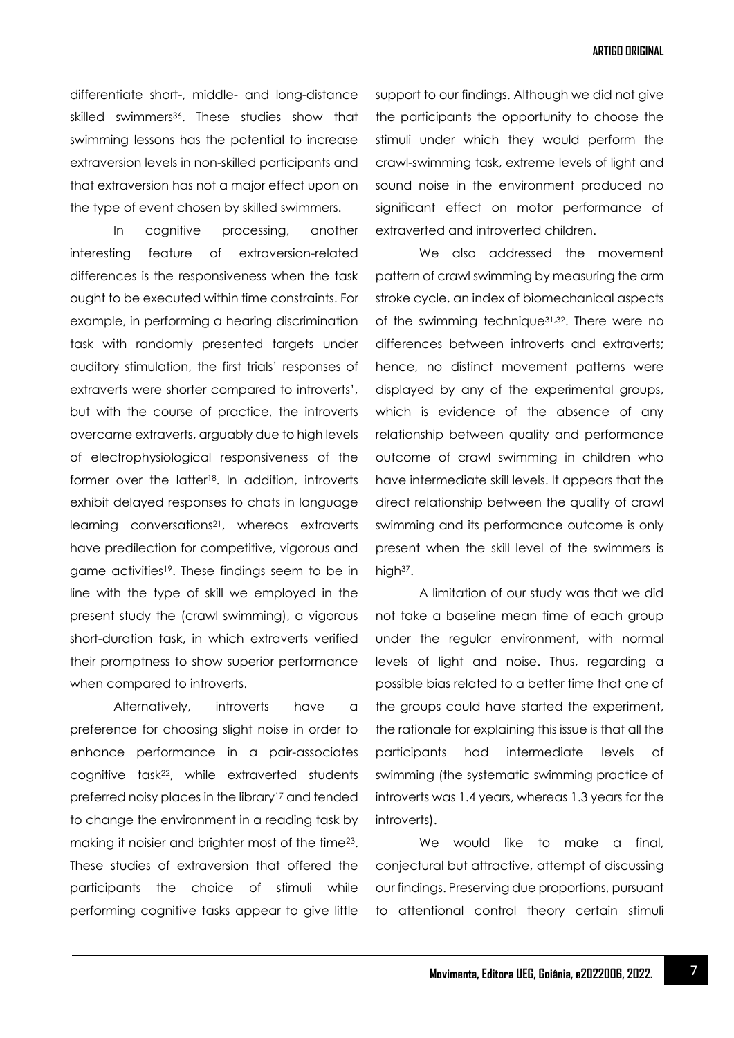differentiate short-, middle- and long-distance skilled swimmers<sup>36</sup>. These studies show that swimming lessons has the potential to increase extraversion levels in non-skilled participants and that extraversion has not a major effect upon on the type of event chosen by skilled swimmers.

In cognitive processing, another interesting feature of extraversion-related differences is the responsiveness when the task ought to be executed within time constraints. For example, in performing a hearing discrimination task with randomly presented targets under auditory stimulation, the first trials' responses of extraverts were shorter compared to introverts', but with the course of practice, the introverts overcame extraverts, arguably due to high levels of electrophysiological responsiveness of the former over the latter18. In addition, introverts exhibit delayed responses to chats in language learning conversations<sup>21</sup>, whereas extraverts have predilection for competitive, vigorous and game activities<sup>19</sup>. These findings seem to be in line with the type of skill we employed in the present study the (crawl swimming), a vigorous short-duration task, in which extraverts verified their promptness to show superior performance when compared to introverts.

Alternatively, introverts have a preference for choosing slight noise in order to enhance performance in a pair-associates cognitive task22, while extraverted students preferred noisy places in the library<sup>17</sup> and tended to change the environment in a reading task by making it noisier and brighter most of the time23. These studies of extraversion that offered the participants the choice of stimuli while performing cognitive tasks appear to give little

support to our findings. Although we did not give the participants the opportunity to choose the stimuli under which they would perform the crawl-swimming task, extreme levels of light and sound noise in the environment produced no significant effect on motor performance of extraverted and introverted children.

We also addressed the movement pattern of crawl swimming by measuring the arm stroke cycle, an index of biomechanical aspects of the swimming technique31,32. There were no differences between introverts and extraverts; hence, no distinct movement patterns were displayed by any of the experimental groups, which is evidence of the absence of any relationship between quality and performance outcome of crawl swimming in children who have intermediate skill levels. It appears that the direct relationship between the quality of crawl swimming and its performance outcome is only present when the skill level of the swimmers is high<sup>37</sup>.

A limitation of our study was that we did not take a baseline mean time of each group under the regular environment, with normal levels of light and noise. Thus, regarding a possible bias related to a better time that one of the groups could have started the experiment, the rationale for explaining this issue is that all the participants had intermediate levels of swimming (the systematic swimming practice of introverts was 1.4 years, whereas 1.3 years for the introverts).

We would like to make a final, conjectural but attractive, attempt of discussing our findings. Preserving due proportions, pursuant to attentional control theory certain stimuli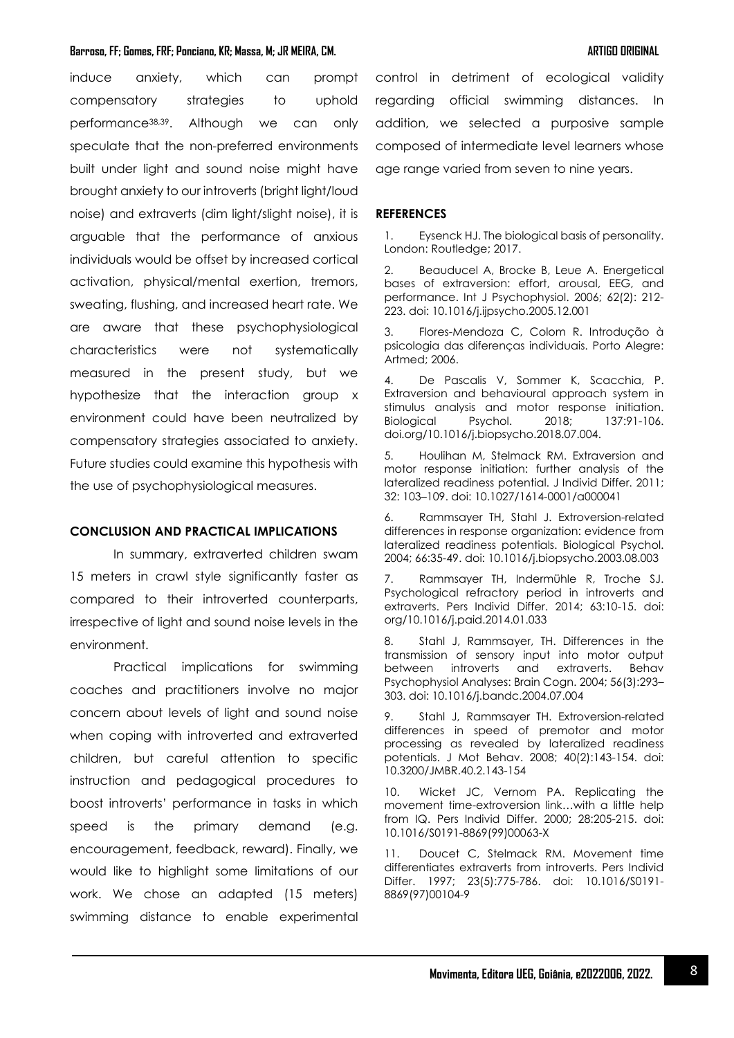induce anxiety, which can prompt compensatory strategies to uphold performance38,39. Although we can only speculate that the non-preferred environments built under light and sound noise might have brought anxiety to our introverts (bright light/loud noise) and extraverts (dim light/slight noise), it is arguable that the performance of anxious individuals would be offset by increased cortical activation, physical/mental exertion, tremors, sweating, flushing, and increased heart rate. We are aware that these psychophysiological characteristics were not systematically measured in the present study, but we hypothesize that the interaction group x environment could have been neutralized by compensatory strategies associated to anxiety. Future studies could examine this hypothesis with the use of psychophysiological measures.

# **CONCLUSION AND PRACTICAL IMPLICATIONS**

In summary, extraverted children swam 15 meters in crawl style significantly faster as compared to their introverted counterparts, irrespective of light and sound noise levels in the environment.

Practical implications for swimming coaches and practitioners involve no major concern about levels of light and sound noise when coping with introverted and extraverted children, but careful attention to specific instruction and pedagogical procedures to boost introverts' performance in tasks in which speed is the primary demand (e.g. encouragement, feedback, reward). Finally, we would like to highlight some limitations of our work. We chose an adapted (15 meters) swimming distance to enable experimental control in detriment of ecological validity regarding official swimming distances. In addition, we selected a purposive sample composed of intermediate level learners whose age range varied from seven to nine years.

# **REFERENCES**

1. Eysenck HJ. The biological basis of personality. London: Routledge; 2017.

2. Beauducel A, Brocke B, Leue A. Energetical bases of extraversion: effort, arousal, EEG, and performance. Int J Psychophysiol. 2006; 62(2): 212- 223. doi: 10.1016/j.ijpsycho.2005.12.001

3. Flores-Mendoza C, Colom R. Introdução à psicologia das diferenças individuais. Porto Alegre: Artmed; 2006.

4. De Pascalis V, Sommer K, Scacchia, P. Extraversion and behavioural approach system in stimulus analysis and motor response initiation. Biological Psychol. 2018; 137:91-106. doi.org/10.1016/j.biopsycho.2018.07.004.

5. Houlihan M, Stelmack RM. Extraversion and motor response initiation: further analysis of the lateralized readiness potential. J Individ Differ. 2011; 32: 103–109. doi: 10.1027/1614-0001/a000041

6. Rammsayer TH, Stahl J. Extroversion-related differences in response organization: evidence from lateralized readiness potentials. Biological Psychol. 2004; 66:35-49. doi: 10.1016/j.biopsycho.2003.08.003

7. Rammsayer TH, Indermühle R, Troche SJ. Psychological refractory period in introverts and extraverts. Pers Individ Differ. 2014; 63:10-15. doi: org/10.1016/j.paid.2014.01.033

8. Stahl J, Rammsayer, TH. Differences in the transmission of sensory input into motor output between introverts and extraverts. Behav Psychophysiol Analyses: Brain Cogn. 2004; 56(3):293– 303. doi: 10.1016/j.bandc.2004.07.004

9. Stahl J, Rammsayer TH. Extroversion-related differences in speed of premotor and motor processing as revealed by lateralized readiness potentials. J Mot Behav. 2008; 40(2):143-154. doi: 10.3200/JMBR.40.2.143-154

10. Wicket JC, Vernom PA. Replicating the movement time-extroversion link…with a little help from IQ. Pers Individ Differ. 2000; 28:205-215. doi: 10.1016/S0191-8869(99)00063-X

11. Doucet C, Stelmack RM. Movement time differentiates extraverts from introverts. Pers Individ Differ. 1997; 23(5):775-786. doi: 10.1016/S0191- 8869(97)00104-9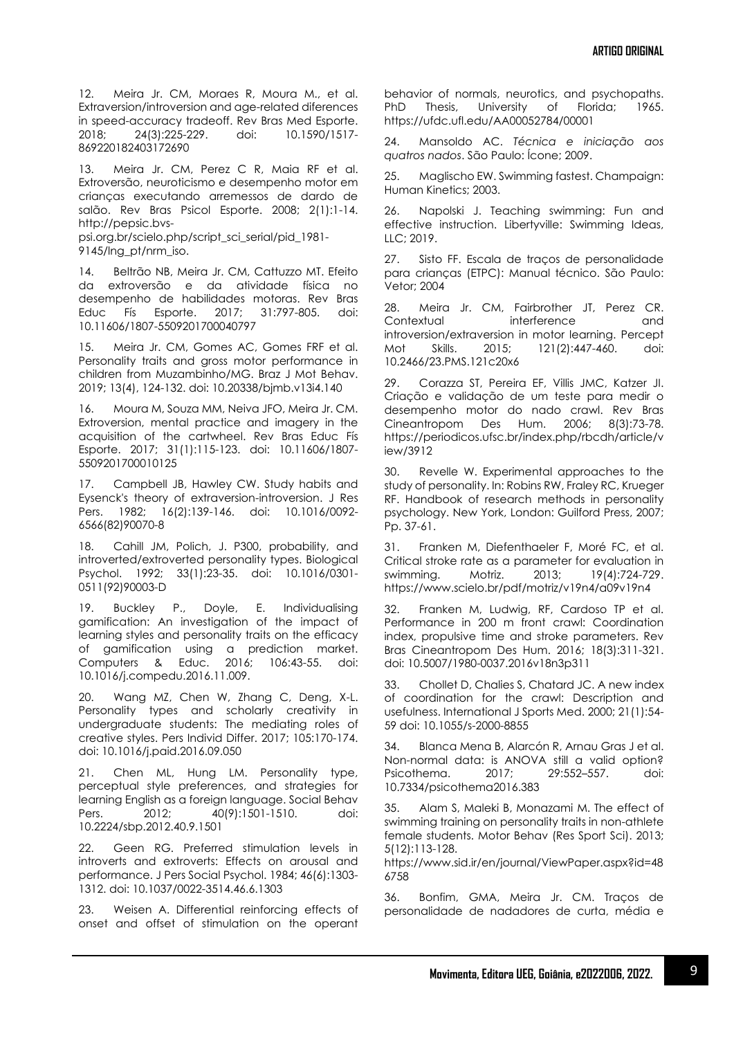12. Meira Jr. CM, Moraes R, Moura M., et al. Extraversion/introversion and age-related diferences in speed-accuracy tradeoff. Rev Bras Med Esporte. 2018; 24(3):225-229. doi: 10.1590/1517- 869220182403172690

13. Meira Jr. CM, Perez C R, Maia RF et al. Extroversão, neuroticismo e desempenho motor em crianças executando arremessos de dardo de salão. Rev Bras Psicol Esporte. 2008; 2(1):1-14. http://pepsic.bvs-

psi.org.br/scielo.php/script\_sci\_serial/pid\_1981- 9145/lng\_pt/nrm\_iso.

14. Beltrão NB, Meira Jr. CM, Cattuzzo MT. Efeito da extroversão e da atividade física no desempenho de habilidades motoras. Rev Bras Educ Fís Esporte. 2017; 31:797-805. doi: 10.11606/1807-5509201700040797

15. Meira Jr. CM, Gomes AC, Gomes FRF et al. Personality traits and gross motor performance in children from Muzambinho/MG. Braz J Mot Behav. 2019; 13(4), 124-132. doi: 10.20338/bjmb.v13i4.140

16. Moura M, Souza MM, Neiva JFO, Meira Jr. CM. Extroversion, mental practice and imagery in the acquisition of the cartwheel. Rev Bras Educ Fís Esporte. 2017; 31(1):115-123. doi: 10.11606/1807- 5509201700010125

17. Campbell JB, Hawley CW. Study habits and Eysenck's theory of extraversion-introversion. J Res Pers. 1982; 16(2):139-146. doi: 10.1016/0092- 6566(82)90070-8

18. Cahill JM, Polich, J. P300, probability, and introverted/extroverted personality types. Biological Psychol. 1992; 33(1):23-35. doi: 10.1016/0301- 0511(92)90003-D

Buckley P., Doyle, E. Individualising gamification: An investigation of the impact of learning styles and personality traits on the efficacy of gamification using a prediction market. Computers & Educ. 2016; 106:43-55. doi: 10.1016/j.compedu.2016.11.009.

20. Wang MZ, Chen W, Zhang C, Deng, X-L. Personality types and scholarly creativity in undergraduate students: The mediating roles of creative styles. Pers Individ Differ. 2017; 105:170-174. doi: 10.1016/j.paid.2016.09.050

21. Chen ML, Hung LM. Personality type, perceptual style preferences, and strategies for learning English as a foreign language. Social Behav Pers. 2012; 40(9):1501-1510. doi: 10.2224/sbp.2012.40.9.1501

22. Geen RG. Preferred stimulation levels in introverts and extroverts: Effects on arousal and performance. J Pers Social Psychol. 1984; 46(6):1303- 1312. doi: 10.1037/0022-3514.46.6.1303

23. Weisen A. Differential reinforcing effects of onset and offset of stimulation on the operant behavior of normals, neurotics, and psychopaths. PhD Thesis, University of Florida; 1965. https://ufdc.ufl.edu/AA00052784/00001

24. Mansoldo AC. *Técnica e iniciação aos quatros nados*. São Paulo: Ícone; 2009.

25. Maglischo EW. Swimming fastest. Champaign: Human Kinetics; 2003.

26. Napolski J. Teaching swimming: Fun and effective instruction. Libertyville: Swimming Ideas, LLC; 2019.

27. Sisto FF. Escala de traços de personalidade para crianças (ETPC): Manual técnico. São Paulo: Vetor; 2004

28. Meira Jr. CM, Fairbrother JT, Perez CR. Contextual interference and introversion/extraversion in motor learning. Percept Mot Skills. 2015; 121(2):447-460. doi: 10.2466/23.PMS.121c20x6

29. Corazza ST, Pereira EF, Villis JMC, Katzer JI. Criação e validação de um teste para medir o desempenho motor do nado crawl. Rev Bras Cineantropom Des Hum. 2006; 8(3):73-78. https://periodicos.ufsc.br/index.php/rbcdh/article/v iew/3912

30. Revelle W. Experimental approaches to the study of personality. In: Robins RW, Fraley RC, Krueger RF. Handbook of research methods in personality psychology. New York, London: Guilford Press, 2007; Pp. 37-61.

31. Franken M, Diefenthaeler F, Moré FC, et al. Critical stroke rate as a parameter for evaluation in swimming. Motriz. 2013; 19(4):724-729. https://www.scielo.br/pdf/motriz/v19n4/a09v19n4

32. Franken M, Ludwig, RF, Cardoso TP et al. Performance in 200 m front crawl: Coordination index, propulsive time and stroke parameters. Rev Bras Cineantropom Des Hum. 2016; 18(3):311-321. doi: 10.5007/1980-0037.2016v18n3p311

33. Chollet D, Chalies S, Chatard JC. A new index of coordination for the crawl: Description and usefulness. International J Sports Med. 2000; 21(1):54- 59 doi: 10.1055/s-2000-8855

34. Blanca Mena B, Alarcón R, Arnau Gras J et al. Non-normal data: is ANOVA still a valid option? Psicothema. 2017; 29:552–557. doi: 10.7334/psicothema2016.383

35. Alam S, Maleki B, Monazami M. The effect of swimming training on personality traits in non-athlete female students. Motor Behav (Res Sport Sci). 2013; 5(12):113-128.

https://www.sid.ir/en/journal/ViewPaper.aspx?id=48 6758

36. Bonfim, GMA, Meira Jr. CM. Traços de personalidade de nadadores de curta, média e